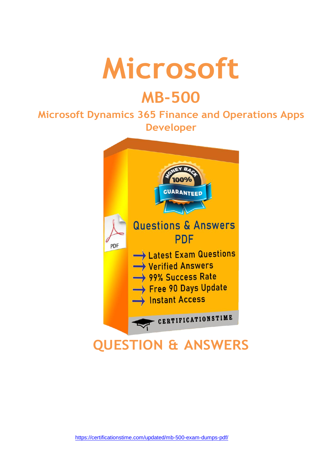

# **MB-500**

## **Microsoft Dynamics 365 Finance and Operations Apps Developer**

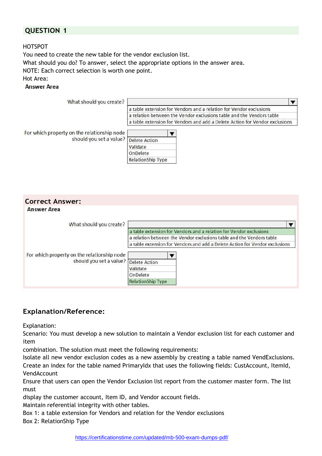## **QUESTION 1**

HOTSPOT

You need to create the new table for the vendor exclusion list. What should you do? To answer, select the appropriate options in the answer area. NOTE: Each correct selection is worth one point. Hot Area: **Answer Area** 

| What should you create?                                                              |                                                                             |  |
|--------------------------------------------------------------------------------------|-----------------------------------------------------------------------------|--|
|                                                                                      | a table extension for Vendors and a relation for Vendor exclusions          |  |
|                                                                                      | a relation between the Vendor exclusions table and the Vendors table        |  |
|                                                                                      | a table extension for Vendors and add a Delete Action for Vendor exclusions |  |
| For which property on the relationship node<br>should you set a value? Delete Action |                                                                             |  |
|                                                                                      | Validate                                                                    |  |
|                                                                                      | OnDelete                                                                    |  |
|                                                                                      | <b>RelationShip Type</b>                                                    |  |

| <b>Correct Answer:</b>                      |                                                                             |
|---------------------------------------------|-----------------------------------------------------------------------------|
| <b>Answer Area</b>                          |                                                                             |
| What should you create?                     |                                                                             |
|                                             | a table extension for Vendors and a relation for Vendor exclusions          |
|                                             | a relation between the Vendor exclusions table and the Vendors table        |
|                                             | a table extension for Vendors and add a Delete Action for Vendor exclusions |
| For which property on the relationship node |                                                                             |
| should you set a value?                     | <b>Delete Action</b>                                                        |
|                                             | Validate                                                                    |
|                                             | OnDelete                                                                    |
|                                             | <b>RelationShip Type</b>                                                    |
|                                             |                                                                             |

## **Explanation/Reference:**

Explanation:

Scenario: You must develop a new solution to maintain a Vendor exclusion list for each customer and item

combination. The solution must meet the following requirements:

Isolate all new vendor exclusion codes as a new assembly by creating a table named VendExclusions. Create an index for the table named PrimaryIdx that uses the following fields: CustAccount, ItemId, VendAccount

Ensure that users can open the Vendor Exclusion list report from the customer master form. The list must

display the customer account, Item ID, and Vendor account fields.

Maintain referential integrity with other tables.

Box 1: a table extension for Vendors and relation for the Vendor exclusions Box 2: RelationShip Type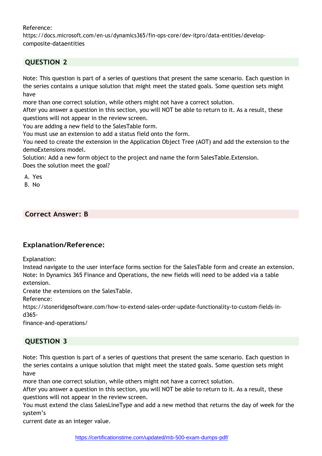#### Reference:

https://docs.microsoft.com/en-us/dynamics365/fin-ops-core/dev-itpro/data-entities/developcomposite-dataentities

## **QUESTION 2**

Note: This question is part of a series of questions that present the same scenario. Each question in the series contains a unique solution that might meet the stated goals. Some question sets might have

more than one correct solution, while others might not have a correct solution.

After you answer a question in this section, you will NOT be able to return to it. As a result, these questions will not appear in the review screen.

You are adding a new field to the SalesTable form.

You must use an extension to add a status field onto the form.

You need to create the extension in the Application Object Tree (AOT) and add the extension to the demoExtensions model.

Solution: Add a new form object to the project and name the form SalesTable.Extension. Does the solution meet the goal?

A. Yes

B. No

## **Correct Answer: B**

## **Explanation/Reference:**

Explanation:

Instead navigate to the user interface forms section for the SalesTable form and create an extension. Note: In Dynamics 365 Finance and Operations, the new fields will need to be added via a table extension.

Create the extensions on the SalesTable.

Reference:

https://stoneridgesoftware.com/how-to-extend-sales-order-update-functionality-to-custom-fields-ind365-

finance-and-operations/

## **QUESTION 3**

Note: This question is part of a series of questions that present the same scenario. Each question in the series contains a unique solution that might meet the stated goals. Some question sets might have

more than one correct solution, while others might not have a correct solution.

After you answer a question in this section, you will NOT be able to return to it. As a result, these questions will not appear in the review screen.

You must extend the class SalesLineType and add a new method that returns the day of week for the system's

current date as an integer value.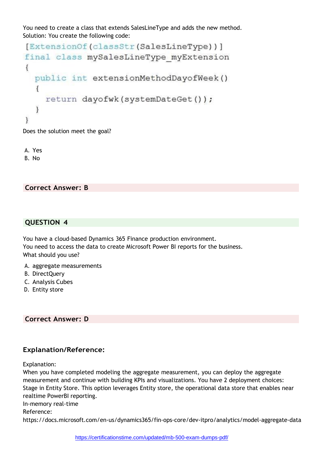You need to create a class that extends SalesLineType and adds the new method. Solution: You create the following code:

```
[ExtensionOf(classStr(SalesLineType))]
final class mySalesLineType myExtension
\{public int extensionMethodDayofWeek()
  €
    return dayofwk (systemDateGet());
  \mathcal{F}ł
```
Does the solution meet the goal?

A. Yes B. No

**Correct Answer: B**

#### **QUESTION 4**

You have a cloud-based Dynamics 365 Finance production environment. You need to access the data to create Microsoft Power BI reports for the business. What should you use?

- A. aggregate measurements
- B. DirectQuery
- C. Analysis Cubes
- D. Entity store

**Correct Answer: D**

## **Explanation/Reference:**

Explanation:

When you have completed modeling the aggregate measurement, you can deploy the aggregate measurement and continue with building KPIs and visualizations. You have 2 deployment choices: Stage in Entity Store. This option leverages Entity store, the operational data store that enables near realtime PowerBI reporting. In-memory real-time Reference: https://docs.microsoft.com/en-us/dynamics365/fin-ops-core/dev-itpro/analytics/model-aggregate-data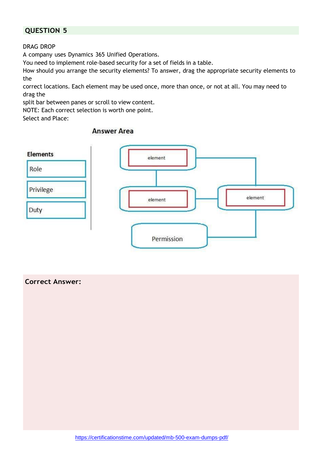## **QUESTION 5**

#### DRAG DROP

A company uses Dynamics 365 Unified Operations.

You need to implement role-based security for a set of fields in a table.

How should you arrange the security elements? To answer, drag the appropriate security elements to the

correct locations. Each element may be used once, more than once, or not at all. You may need to drag the

split bar between panes or scroll to view content.

NOTE: Each correct selection is worth one point.

Select and Place:

## **Answer Area**



#### **Correct Answer:**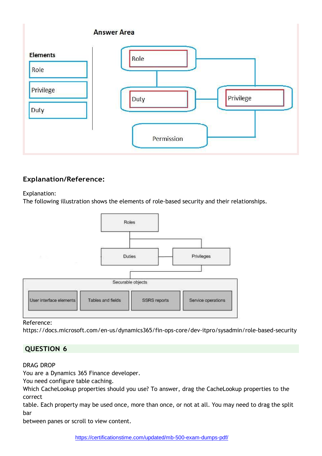

## **Explanation/Reference:**

#### Explanation:

The following illustration shows the elements of role-based security and their relationships.



Reference:

https://docs.microsoft.com/en-us/dynamics365/fin-ops-core/dev-itpro/sysadmin/role-based-security

## **QUESTION 6**

#### DRAG DROP

You are a Dynamics 365 Finance developer.

You need configure table caching.

Which CacheLookup properties should you use? To answer, drag the CacheLookup properties to the correct

table. Each property may be used once, more than once, or not at all. You may need to drag the split bar

between panes or scroll to view content.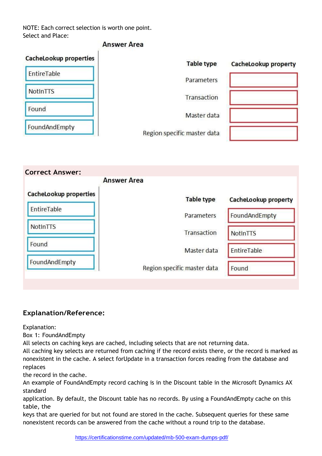NOTE: Each correct selection is worth one point. Select and Place:

## **Answer Area**

| CacheLookup properties | <b>Table type</b>           | CacheLookup property |
|------------------------|-----------------------------|----------------------|
| EntireTable            | Parameters                  |                      |
| NotInTTS               | Transaction                 |                      |
| Found                  | Master data                 |                      |
| FoundAndEmpty          | Region specific master data |                      |

|                        | <b>Answer Area</b>          |                      |
|------------------------|-----------------------------|----------------------|
| CacheLookup properties | <b>Table type</b>           | CacheLookup property |
| EntireTable            | Parameters                  | FoundAndEmpty        |
| NotInTTS               | Transaction                 | NotInTTS             |
| Found                  | Master data                 | EntireTable          |
| FoundAndEmpty          | Region specific master data | Found                |

## **Explanation/Reference:**

Explanation:

Box 1: FoundAndEmpty

All selects on caching keys are cached, including selects that are not returning data.

All caching key selects are returned from caching if the record exists there, or the record is marked as nonexistent in the cache. A select forUpdate in a transaction forces reading from the database and replaces

the record in the cache.

An example of FoundAndEmpty record caching is in the Discount table in the Microsoft Dynamics AX standard

application. By default, the Discount table has no records. By using a FoundAndEmpty cache on this table, the

keys that are queried for but not found are stored in the cache. Subsequent queries for these same nonexistent records can be answered from the cache without a round trip to the database.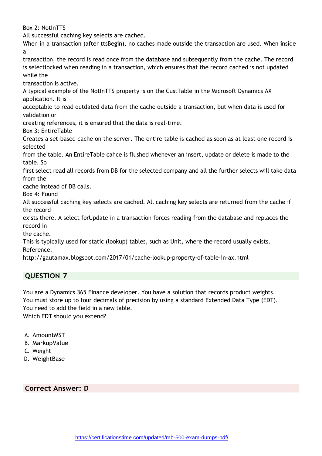Box 2: NotInTTS

All successful caching key selects are cached.

When in a transaction (after ttsBegin), no caches made outside the transaction are used. When inside a

transaction, the record is read once from the database and subsequently from the cache. The record is selectlocked when reading in a transaction, which ensures that the record cached is not updated while the

transaction is active.

A typical example of the NotInTTS property is on the CustTable in the Microsoft Dynamics AX application. It is

acceptable to read outdated data from the cache outside a transaction, but when data is used for validation or

creating references, it is ensured that the data is real-time.

Box 3: EntireTable

Creates a set-based cache on the server. The entire table is cached as soon as at least one record is selected

from the table. An EntireTable cahce is flushed whenever an insert, update or delete is made to the table. So

first select read all records from DB for the selected company and all the further selects will take data from the

cache instead of DB calls.

Box 4: Found

All successful caching key selects are cached. All caching key selects are returned from the cache if the record

exists there. A select forUpdate in a transaction forces reading from the database and replaces the record in

the cache.

This is typically used for static (lookup) tables, such as Unit, where the record usually exists. Reference:

<http://gautamax.blogspot.com/2017/01/cache-lookup-property-of-table-in-ax.html>

## **QUESTION 7**

You are a Dynamics 365 Finance developer. You have a solution that records product weights. You must store up to four decimals of precision by using a standard Extended Data Type (EDT). You need to add the field in a new table.

Which EDT should you extend?

- A. AmountMST
- B. MarkupValue
- C. Weight
- D. WeightBase

**Correct Answer: D**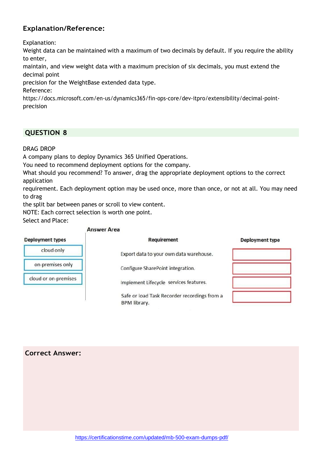## **Explanation/Reference:**

Explanation:

Weight data can be maintained with a maximum of two decimals by default. If you require the ability to enter,

maintain, and view weight data with a maximum precision of six decimals, you must extend the decimal point

precision for the WeightBase extended data type.

Reference:

https://docs.microsoft.com/en-us/dynamics365/fin-ops-core/dev-itpro/extensibility/decimal-pointprecision

## **QUESTION 8**

DRAG DROP

A company plans to deploy Dynamics 365 Unified Operations.

You need to recommend deployment options for the company.

What should you recommend? To answer, drag the appropriate deployment options to the correct application

requirement. Each deployment option may be used once, more than once, or not at all. You may need to drag

the split bar between panes or scroll to view content.

NOTE: Each correct selection is worth one point.

Select and Place:

#### **Answer Area**

| <b>Deployment types</b> | Requirement                                                  | Deployment type |
|-------------------------|--------------------------------------------------------------|-----------------|
| cloud only              | Export data to your own data warehouse.                      |                 |
| on-premises only        | Configure SharePoint integration.                            |                 |
| cloud or on-premises    | Implement Lifecycle services features.                       |                 |
|                         | Safe or load Task Recorder recordings from a<br>BPM library. |                 |

#### **Correct Answer:**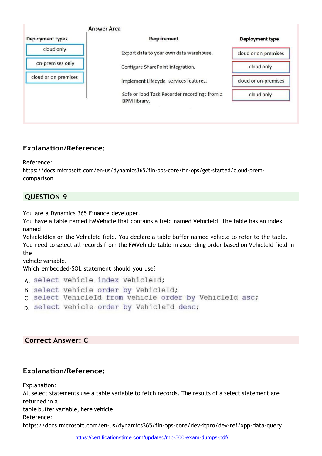

## **Explanation/Reference:**

Reference:

https://docs.microsoft.com/en-us/dynamics365/fin-ops-core/fin-ops/get-started/cloud-premcomparison

## **QUESTION 9**

You are a Dynamics 365 Finance developer.

You have a table named FMVehicle that contains a field named VehicleId. The table has an index named

VehicleIdIdx on the VehicleId field. You declare a table buffer named vehicle to refer to the table. You need to select all records from the FMVehicle table in ascending order based on VehicleId field in the

vehicle variable.

Which embedded-SQL statement should you use?

A select vehicle index VehicleId;

- B. select vehicle order by VehicleId;
- c select VehicleId from vehicle order by VehicleId asc;
- p select vehicle order by VehicleId desc;

#### **Correct Answer: C**

#### **Explanation/Reference:**

Explanation:

All select statements use a table variable to fetch records. The results of a select statement are returned in a table buffer variable, here vehicle. Reference:

https://docs.microsoft.com/en-us/dynamics365/fin-ops-core/dev-itpro/dev-ref/xpp-data-query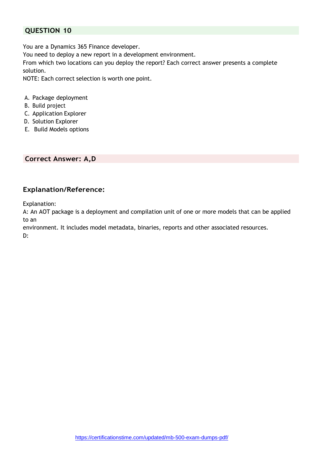## **QUESTION 10**

You are a Dynamics 365 Finance developer.

You need to deploy a new report in a development environment.

From which two locations can you deploy the report? Each correct answer presents a complete solution.

NOTE: Each correct selection is worth one point.

- A. Package deployment
- B. Build project
- C. Application Explorer
- D. Solution Explorer
- E. Build Models options

**Correct Answer: A,D**

## **Explanation/Reference:**

Explanation:

A: An AOT package is a deployment and compilation unit of one or more models that can be applied to an

environment. It includes model metadata, binaries, reports and other associated resources.

D: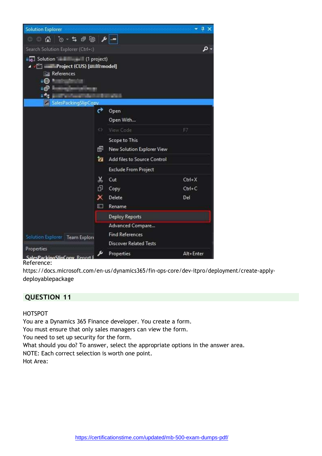![](_page_11_Picture_0.jpeg)

## Reference:

https://docs.microsoft.com/en-us/dynamics365/fin-ops-core/dev-itpro/deployment/create-applydeployablepackage

## **QUESTION 11**

#### HOTSPOT

You are a Dynamics 365 Finance developer. You create a form.

You must ensure that only sales managers can view the form.

You need to set up security for the form.

What should you do? To answer, select the appropriate options in the answer area. NOTE: Each correct selection is worth one point. Hot Area: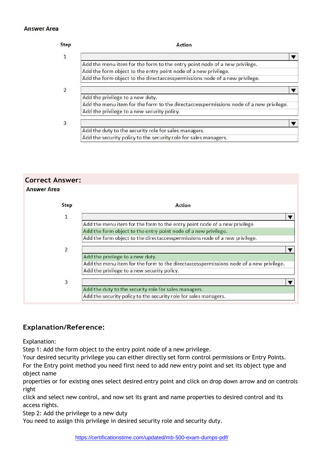#### **Answer Area**

| Add the menu item for the form to the entry point node of a new privilege.             |  |
|----------------------------------------------------------------------------------------|--|
| Add the form object to the entry point node of a new privilege.                        |  |
| Add the form object to the directaccesspermissions node of a new privilege.            |  |
|                                                                                        |  |
| Add the privilege to a new duty.                                                       |  |
| Add the menu item for the form to the directaccesspermissions node of a new privilege. |  |
| Add the privilege to a new security policy.                                            |  |
|                                                                                        |  |
| Add the duty to the security role for sales managers.                                  |  |
| Add the security policy to the security role for sales managers.                       |  |

#### **Correct Answer: Answer Area**

| Step           | Action                                                                                 |
|----------------|----------------------------------------------------------------------------------------|
| $\mathbf{1}$   |                                                                                        |
|                | Add the menu item for the form to the entry point node of a new privilege.             |
|                | Add the form object to the entry point node of a new privilege.                        |
|                | Add the form object to the directaccesspermissions node of a new privilege.            |
| $\overline{2}$ |                                                                                        |
|                | Add the privilege to a new duty.                                                       |
|                | Add the menu item for the form to the directaccesspermissions node of a new privilege. |
|                | Add the privilege to a new security policy.                                            |
| $\overline{3}$ |                                                                                        |
|                | Add the duty to the security role for sales managers.                                  |
|                | Add the security policy to the security role for sales managers.                       |

## **Explanation/Reference:**

Explanation:

Step 1: Add the form object to the entry point node of a new privilege.

Your desired security privilege you can either directly set form control permissions or Entry Points.

For the Entry point method you need first need to add new entry point and set its object type and object name

properties or for existing ones select desired entry point and click on drop down arrow and on controls right

click and select new control, and now set its grant and name properties to desired control and its access rights.

Step 2: Add the privilege to a new duty

You need to assign this privilege in desired security role and security duty.